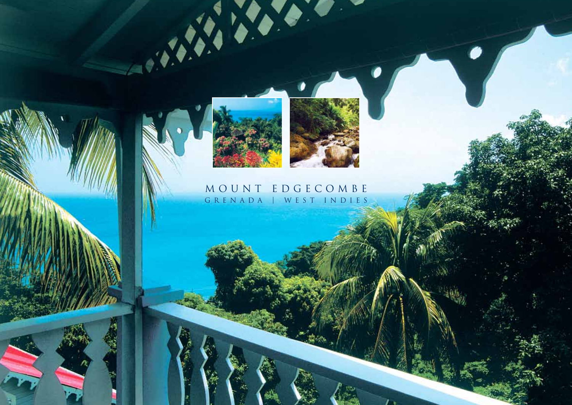

A.



L.

## MOUNT EDGECOMBE GRENADA | WEST INDIES

**SO**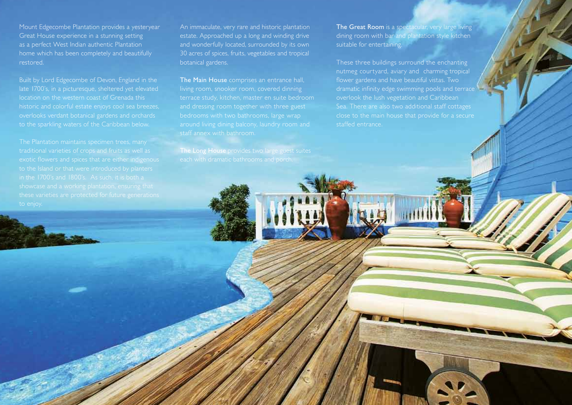Mount Edgecombe Plantation provides a yesteryear Great House experience in a stunning setting as a perfect West Indian authentic Plantation home which has been completely and beautifully restored.

Built by Lord Edgecombe of Devon, England in the late 1700's, in a picturesque, sheltered yet elevated location on the western coast of Grenada this

An immaculate, very rare and historic plantation estate. Approached up a long and winding drive and wonderfully located, surrounded by its own 30 acres of spices, fruits, vegetables and tropical botanical gardens.

The Main House comprises an entrance hall. living room, snooker room, covered dinning

The Great Room is a spectacular, very large living dining room with bar and plantation style kitchen suitable for entertaining.

These three buildings surround the enchanting nutmeg courtyard, aviary and charming tropical dramatic infinity edge swimming pools and terrace overlook the lush vegetation and Caribbean close to the main house that provide for a secure staffed entrance.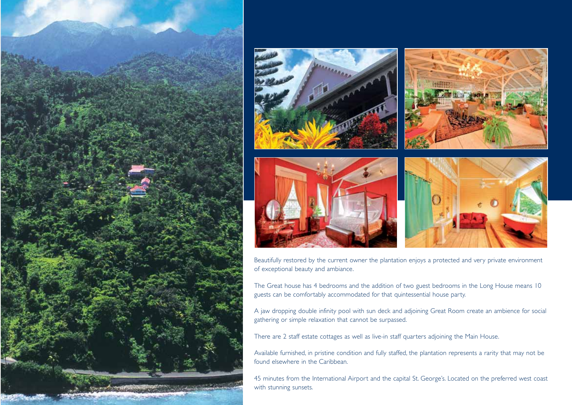



Beautifully restored by the current owner the plantation enjoys a protected and very private environment of exceptional beauty and ambiance.

The Great house has 4 bedrooms and the addition of two guest bedrooms in the Long House means 10 guests can be comfortably accommodated for that quintessential house party.

A jaw dropping double infinity pool with sun deck and adjoining Great Room create an ambience for social gathering or simple relaxation that cannot be surpassed.

There are 2 staff estate cottages as well as live-in staff quarters adjoining the Main House.

Available furnished, in pristine condition and fully staffed, the plantation represents a rarity that may not be found elsewhere in the Caribbean.

45 minutes from the International Airport and the capital St. George's. Located on the preferred west coast with stunning sunsets.